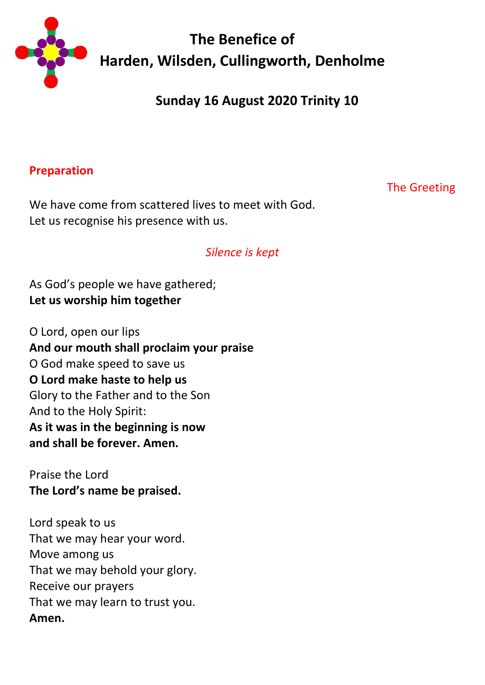

**The Benefice of Harden, Wilsden, Cullingworth, Denholme**

# **Sunday 16 August 2020 Trinity 10**

### **Preparation**

The Greeting

We have come from scattered lives to meet with God. Let us recognise his presence with us.

### *Silence is kept*

As God's people we have gathered; **Let us worship him together**

O Lord, open our lips **And our mouth shall proclaim your praise** O God make speed to save us **O Lord make haste to help us** Glory to the Father and to the Son And to the Holy Spirit: **As it was in the beginning is now and shall be forever. Amen.**

Praise the Lord **The Lord's name be praised.**

Lord speak to us That we may hear your word. Move among us That we may behold your glory. Receive our prayers That we may learn to trust you. **Amen.**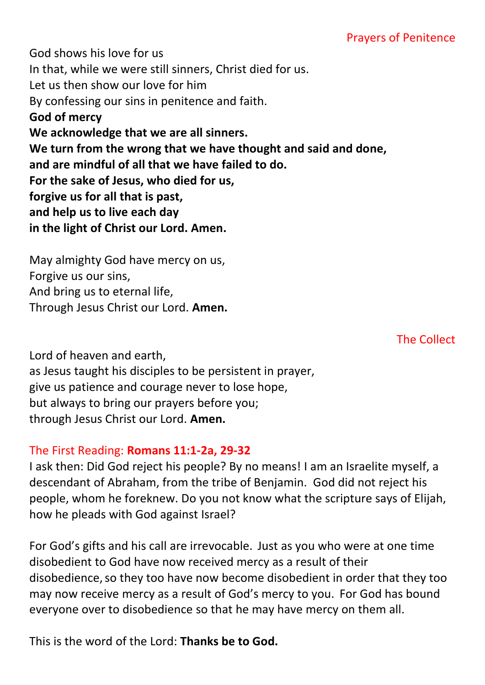### Prayers of Penitence

God shows his love for us In that, while we were still sinners, Christ died for us. Let us then show our love for him By confessing our sins in penitence and faith. **God of mercy We acknowledge that we are all sinners. We turn from the wrong that we have thought and said and done, and are mindful of all that we have failed to do. For the sake of Jesus, who died for us, forgive us for all that is past, and help us to live each day in the light of Christ our Lord. Amen.**

May almighty God have mercy on us, Forgive us our sins, And bring us to eternal life, Through Jesus Christ our Lord. **Amen.**

The Collect

Lord of heaven and earth, as Jesus taught his disciples to be persistent in prayer, give us patience and courage never to lose hope, but always to bring our prayers before you; through Jesus Christ our Lord. **Amen.**

#### The First Reading: **Romans 11:1-2a, 29-32**

I ask then: Did God reject his people? By no means! I am an Israelite myself, a descendant of Abraham, from the tribe of Benjamin. God did not reject his people, whom he foreknew. Do you not know what the scripture says of Elijah, how he pleads with God against Israel?

For God's gifts and his call are irrevocable. Just as you who were at one time disobedient to God have now received mercy as a result of their disobedience,so they too have now become disobedient in order that they too may now receive mercy as a result of God's mercy to you. For God has bound everyone over to disobedience so that he may have mercy on them all.

This is the word of the Lord: **Thanks be to God.**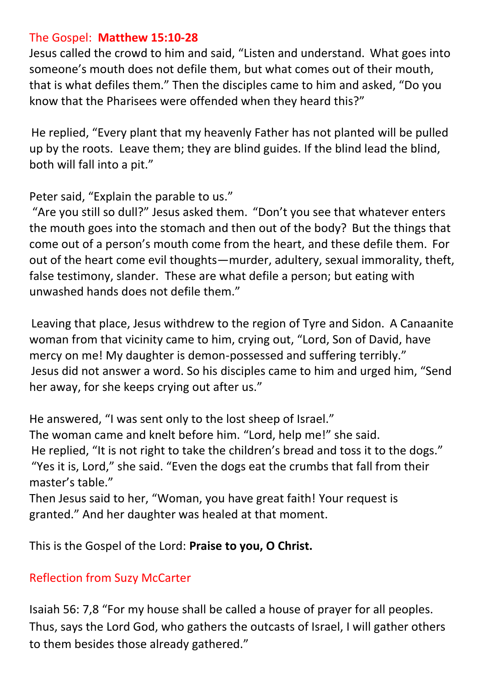### The Gospel: **Matthew 15:10-28**

Jesus called the crowd to him and said, "Listen and understand. What goes into someone's mouth does not defile them, but what comes out of their mouth, that is what defiles them." Then the disciples came to him and asked, "Do you know that the Pharisees were offended when they heard this?"

He replied, "Every plant that my heavenly Father has not planted will be pulled up by the roots. Leave them; they are blind guides. If the blind lead the blind, both will fall into a pit."

Peter said, "Explain the parable to us."

"Are you still so dull?" Jesus asked them. "Don't you see that whatever enters the mouth goes into the stomach and then out of the body? But the things that come out of a person's mouth come from the heart, and these defile them. For out of the heart come evil thoughts—murder, adultery, sexual immorality, theft, false testimony, slander. These are what defile a person; but eating with unwashed hands does not defile them."

Leaving that place, Jesus withdrew to the region of Tyre and Sidon. A Canaanite woman from that vicinity came to him, crying out, "Lord, Son of David, have mercy on me! My daughter is demon-possessed and suffering terribly." Jesus did not answer a word. So his disciples came to him and urged him, "Send her away, for she keeps crying out after us."

He answered, "I was sent only to the lost sheep of Israel." The woman came and knelt before him. "Lord, help me!" she said. He replied, "It is not right to take the children's bread and toss it to the dogs." "Yes it is, Lord," she said. "Even the dogs eat the crumbs that fall from their master's table."

Then Jesus said to her, "Woman, you have great faith! Your request is granted." And her daughter was healed at that moment.

This is the Gospel of the Lord: **Praise to you, O Christ.**

### Reflection from Suzy McCarter

Isaiah 56: 7,8 "For my house shall be called a house of prayer for all peoples. Thus, says the Lord God, who gathers the outcasts of Israel, I will gather others to them besides those already gathered."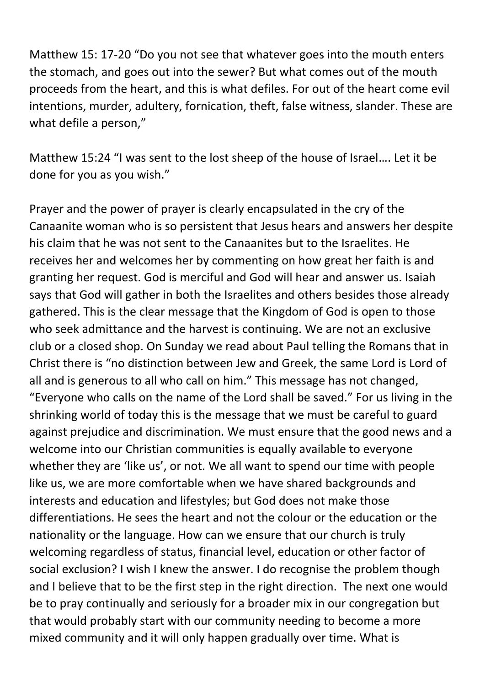Matthew 15: 17-20 "Do you not see that whatever goes into the mouth enters the stomach, and goes out into the sewer? But what comes out of the mouth proceeds from the heart, and this is what defiles. For out of the heart come evil intentions, murder, adultery, fornication, theft, false witness, slander. These are what defile a person,"

Matthew 15:24 "I was sent to the lost sheep of the house of Israel…. Let it be done for you as you wish."

Prayer and the power of prayer is clearly encapsulated in the cry of the Canaanite woman who is so persistent that Jesus hears and answers her despite his claim that he was not sent to the Canaanites but to the Israelites. He receives her and welcomes her by commenting on how great her faith is and granting her request. God is merciful and God will hear and answer us. Isaiah says that God will gather in both the Israelites and others besides those already gathered. This is the clear message that the Kingdom of God is open to those who seek admittance and the harvest is continuing. We are not an exclusive club or a closed shop. On Sunday we read about Paul telling the Romans that in Christ there is "no distinction between Jew and Greek, the same Lord is Lord of all and is generous to all who call on him." This message has not changed, "Everyone who calls on the name of the Lord shall be saved." For us living in the shrinking world of today this is the message that we must be careful to guard against prejudice and discrimination. We must ensure that the good news and a welcome into our Christian communities is equally available to everyone whether they are 'like us', or not. We all want to spend our time with people like us, we are more comfortable when we have shared backgrounds and interests and education and lifestyles; but God does not make those differentiations. He sees the heart and not the colour or the education or the nationality or the language. How can we ensure that our church is truly welcoming regardless of status, financial level, education or other factor of social exclusion? I wish I knew the answer. I do recognise the problem though and I believe that to be the first step in the right direction. The next one would be to pray continually and seriously for a broader mix in our congregation but that would probably start with our community needing to become a more mixed community and it will only happen gradually over time. What is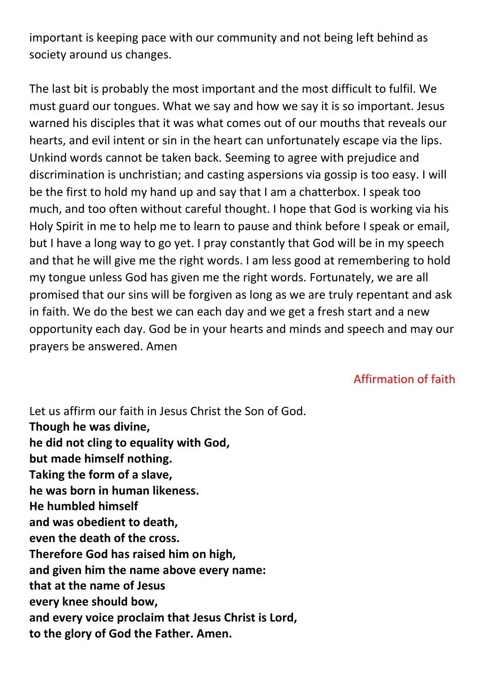important is keeping pace with our community and not being left behind as society around us changes.

The last bit is probably the most important and the most difficult to fulfil. We must guard our tongues. What we say and how we say it is so important. Jesus warned his disciples that it was what comes out of our mouths that reveals our hearts, and evil intent or sin in the heart can unfortunately escape via the lips. Unkind words cannot be taken back. Seeming to agree with prejudice and discrimination is unchristian; and casting aspersions via gossip is too easy. I will be the first to hold my hand up and say that I am a chatterbox. I speak too much, and too often without careful thought. I hope that God is working via his Holy Spirit in me to help me to learn to pause and think before I speak or email, but I have a long way to go yet. I pray constantly that God will be in my speech and that he will give me the right words. I am less good at remembering to hold my tongue unless God has given me the right words. Fortunately, we are all promised that our sins will be forgiven as long as we are truly repentant and ask in faith. We do the best we can each day and we get a fresh start and a new opportunity each day. God be in your hearts and minds and speech and may our prayers be answered. Amen

Affirmation of faith

Let us affirm our faith in Jesus Christ the Son of God. **Though he was divine, he did not cling to equality with God, but made himself nothing. Taking the form of a slave, he was born in human likeness. He humbled himself and was obedient to death, even the death of the cross. Therefore God has raised him on high, and given him the name above every name: that at the name of Jesus every knee should bow, and every voice proclaim that Jesus Christ is Lord, to the glory of God the Father. Amen.**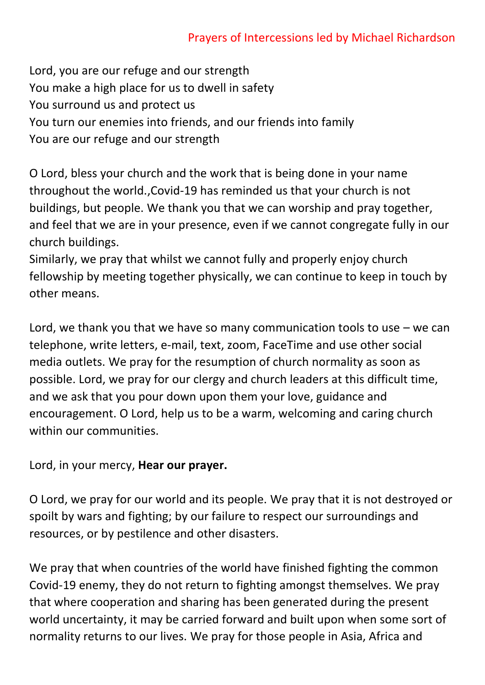## Prayers of Intercessions led by Michael Richardson

Lord, you are our refuge and our strength You make a high place for us to dwell in safety You surround us and protect us You turn our enemies into friends, and our friends into family You are our refuge and our strength

O Lord, bless your church and the work that is being done in your name throughout the world.,Covid-19 has reminded us that your church is not buildings, but people. We thank you that we can worship and pray together, and feel that we are in your presence, even if we cannot congregate fully in our church buildings.

Similarly, we pray that whilst we cannot fully and properly enjoy church fellowship by meeting together physically, we can continue to keep in touch by other means.

Lord, we thank you that we have so many communication tools to use – we can telephone, write letters, e-mail, text, zoom, FaceTime and use other social media outlets. We pray for the resumption of church normality as soon as possible. Lord, we pray for our clergy and church leaders at this difficult time, and we ask that you pour down upon them your love, guidance and encouragement. O Lord, help us to be a warm, welcoming and caring church within our communities.

Lord, in your mercy, **Hear our prayer.**

O Lord, we pray for our world and its people. We pray that it is not destroyed or spoilt by wars and fighting; by our failure to respect our surroundings and resources, or by pestilence and other disasters.

We pray that when countries of the world have finished fighting the common Covid-19 enemy, they do not return to fighting amongst themselves. We pray that where cooperation and sharing has been generated during the present world uncertainty, it may be carried forward and built upon when some sort of normality returns to our lives. We pray for those people in Asia, Africa and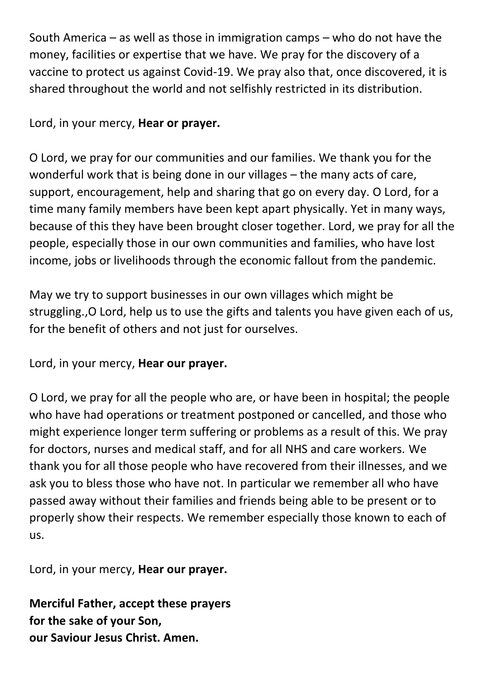South America – as well as those in immigration camps – who do not have the money, facilities or expertise that we have. We pray for the discovery of a vaccine to protect us against Covid-19. We pray also that, once discovered, it is shared throughout the world and not selfishly restricted in its distribution.

Lord, in your mercy, **Hear or prayer.**

O Lord, we pray for our communities and our families. We thank you for the wonderful work that is being done in our villages – the many acts of care, support, encouragement, help and sharing that go on every day. O Lord, for a time many family members have been kept apart physically. Yet in many ways, because of this they have been brought closer together. Lord, we pray for all the people, especially those in our own communities and families, who have lost income, jobs or livelihoods through the economic fallout from the pandemic.

May we try to support businesses in our own villages which might be struggling.,O Lord, help us to use the gifts and talents you have given each of us, for the benefit of others and not just for ourselves.

Lord, in your mercy, **Hear our prayer.**

O Lord, we pray for all the people who are, or have been in hospital; the people who have had operations or treatment postponed or cancelled, and those who might experience longer term suffering or problems as a result of this. We pray for doctors, nurses and medical staff, and for all NHS and care workers. We thank you for all those people who have recovered from their illnesses, and we ask you to bless those who have not. In particular we remember all who have passed away without their families and friends being able to be present or to properly show their respects. We remember especially those known to each of us.

Lord, in your mercy, **Hear our prayer.**

**Merciful Father, accept these prayers for the sake of your Son, our Saviour Jesus Christ. Amen.**